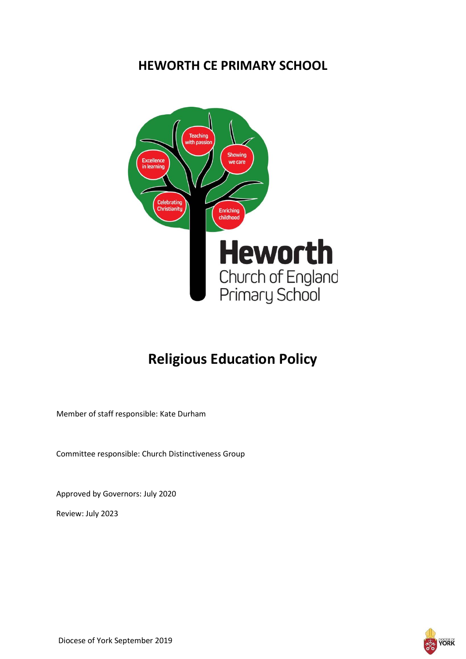# **HEWORTH CE PRIMARY SCHOOL**



# **Religious Education Policy**

Member of staff responsible: Kate Durham

Committee responsible: Church Distinctiveness Group

Approved by Governors: July 2020

Review: July 2023

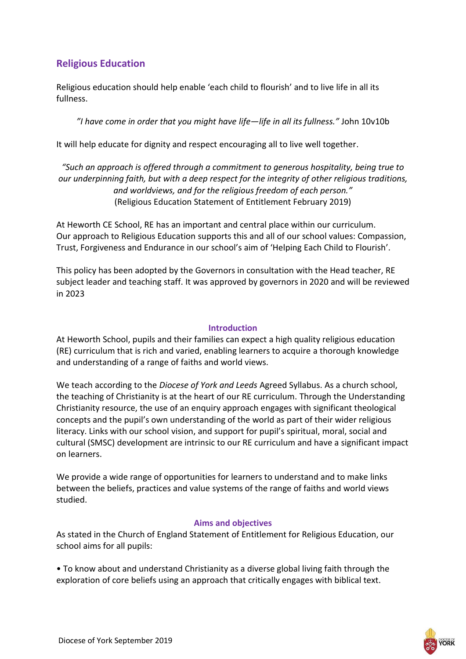# **Religious Education**

Religious education should help enable 'each child to flourish' and to live life in all its fullness.

*"I have come in order that you might have life—life in all its fullness."* John 10v10b

It will help educate for dignity and respect encouraging all to live well together.

*"Such an approach is offered through a commitment to generous hospitality, being true to our underpinning faith, but with a deep respect for the integrity of other religious traditions, and worldviews, and for the religious freedom of each person."* (Religious Education Statement of Entitlement February 2019)

At Heworth CE School, RE has an important and central place within our curriculum. Our approach to Religious Education supports this and all of our school values: Compassion, Trust, Forgiveness and Endurance in our school's aim of 'Helping Each Child to Flourish'.

This policy has been adopted by the Governors in consultation with the Head teacher, RE subject leader and teaching staff. It was approved by governors in 2020 and will be reviewed in 2023

#### **Introduction**

At Heworth School, pupils and their families can expect a high quality religious education (RE) curriculum that is rich and varied, enabling learners to acquire a thorough knowledge and understanding of a range of faiths and world views.

We teach according to the *Diocese of York and Leeds* Agreed Syllabus. As a church school, the teaching of Christianity is at the heart of our RE curriculum. Through the Understanding Christianity resource, the use of an enquiry approach engages with significant theological concepts and the pupil's own understanding of the world as part of their wider religious literacy. Links with our school vision, and support for pupil's spiritual, moral, social and cultural (SMSC) development are intrinsic to our RE curriculum and have a significant impact on learners.

We provide a wide range of opportunities for learners to understand and to make links between the beliefs, practices and value systems of the range of faiths and world views studied.

#### **Aims and objectives**

As stated in the Church of England Statement of Entitlement for Religious Education, our school aims for all pupils:

• To know about and understand Christianity as a diverse global living faith through the exploration of core beliefs using an approach that critically engages with biblical text.

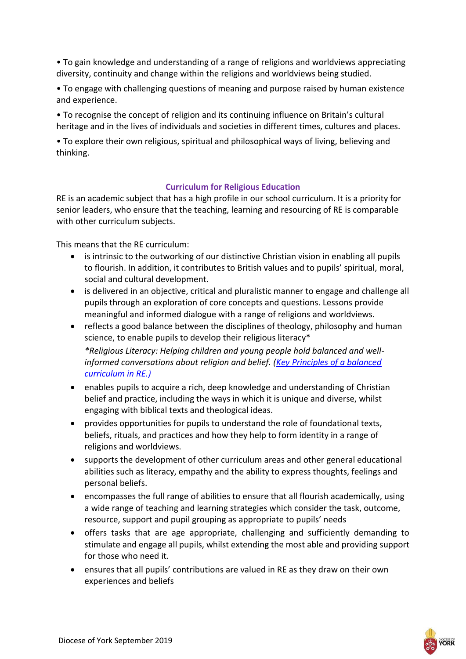• To gain knowledge and understanding of a range of religions and worldviews appreciating diversity, continuity and change within the religions and worldviews being studied.

• To engage with challenging questions of meaning and purpose raised by human existence and experience.

• To recognise the concept of religion and its continuing influence on Britain's cultural heritage and in the lives of individuals and societies in different times, cultures and places.

• To explore their own religious, spiritual and philosophical ways of living, believing and thinking.

# **Curriculum for Religious Education**

RE is an academic subject that has a high profile in our school curriculum. It is a priority for senior leaders, who ensure that the teaching, learning and resourcing of RE is comparable with other curriculum subjects.

This means that the RE curriculum:

- is intrinsic to the outworking of our distinctive Christian vision in enabling all pupils to flourish. In addition, it contributes to British values and to pupils' spiritual, moral, social and cultural development.
- is delivered in an objective, critical and pluralistic manner to engage and challenge all pupils through an exploration of core concepts and questions. Lessons provide meaningful and informed dialogue with a range of religions and worldviews.
- reflects a good balance between the disciplines of theology, philosophy and human science, to enable pupils to develop their religious literacy\* *\*Religious Literacy: Helping children and young people hold balanced and wellinformed conversations about religion and belief. [\(Key Principles of a balanced](https://www.churchofengland.org/sites/default/files/2018-03/Key%20principles%20of%20a%20balanced%20curriculum%20in%20RE_0.pdf)  [curriculum in RE.\)](https://www.churchofengland.org/sites/default/files/2018-03/Key%20principles%20of%20a%20balanced%20curriculum%20in%20RE_0.pdf)*
- enables pupils to acquire a rich, deep knowledge and understanding of Christian belief and practice, including the ways in which it is unique and diverse, whilst engaging with biblical texts and theological ideas.
- provides opportunities for pupils to understand the role of foundational texts, beliefs, rituals, and practices and how they help to form identity in a range of religions and worldviews.
- supports the development of other curriculum areas and other general educational abilities such as literacy, empathy and the ability to express thoughts, feelings and personal beliefs.
- encompasses the full range of abilities to ensure that all flourish academically, using a wide range of teaching and learning strategies which consider the task, outcome, resource, support and pupil grouping as appropriate to pupils' needs
- offers tasks that are age appropriate, challenging and sufficiently demanding to stimulate and engage all pupils, whilst extending the most able and providing support for those who need it.
- ensures that all pupils' contributions are valued in RE as they draw on their own experiences and beliefs

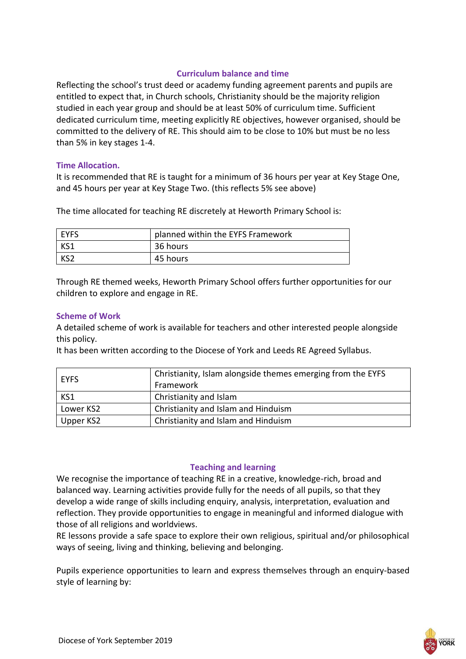#### **Curriculum balance and time**

Reflecting the school's trust deed or academy funding agreement parents and pupils are entitled to expect that, in Church schools, Christianity should be the majority religion studied in each year group and should be at least 50% of curriculum time. Sufficient dedicated curriculum time, meeting explicitly RE objectives, however organised, should be committed to the delivery of RE. This should aim to be close to 10% but must be no less than 5% in key stages 1-4.

#### **Time Allocation.**

It is recommended that RE is taught for a minimum of 36 hours per year at Key Stage One, and 45 hours per year at Key Stage Two. (this reflects 5% see above)

The time allocated for teaching RE discretely at Heworth Primary School is:

| <b>EYES</b>     | planned within the EYFS Framework |
|-----------------|-----------------------------------|
| KS1             | 36 hours                          |
| KS <sub>2</sub> | 45 hours                          |

Through RE themed weeks, Heworth Primary School offers further opportunities for our children to explore and engage in RE.

#### **Scheme of Work**

A detailed scheme of work is available for teachers and other interested people alongside this policy.

It has been written according to the Diocese of York and Leeds RE Agreed Syllabus.

| <b>EYFS</b> | Christianity, Islam alongside themes emerging from the EYFS<br>Framework |
|-------------|--------------------------------------------------------------------------|
| KS1         | Christianity and Islam                                                   |
| Lower KS2   | Christianity and Islam and Hinduism                                      |
| Upper KS2   | Christianity and Islam and Hinduism                                      |

#### **Teaching and learning**

We recognise the importance of teaching RE in a creative, knowledge-rich, broad and balanced way. Learning activities provide fully for the needs of all pupils, so that they develop a wide range of skills including enquiry, analysis, interpretation, evaluation and reflection. They provide opportunities to engage in meaningful and informed dialogue with those of all religions and worldviews.

RE lessons provide a safe space to explore their own religious, spiritual and/or philosophical ways of seeing, living and thinking, believing and belonging.

Pupils experience opportunities to learn and express themselves through an enquiry-based style of learning by:

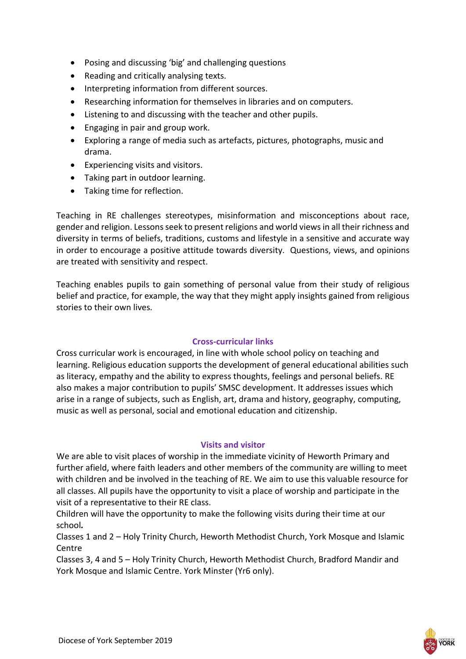- Posing and discussing 'big' and challenging questions
- Reading and critically analysing texts.
- $\bullet$  Interpreting information from different sources.
- Researching information for themselves in libraries and on computers.
- Listening to and discussing with the teacher and other pupils.
- Engaging in pair and group work.
- Exploring a range of media such as artefacts, pictures, photographs, music and drama.
- Experiencing visits and visitors.
- Taking part in outdoor learning.
- Taking time for reflection.

Teaching in RE challenges stereotypes, misinformation and misconceptions about race, gender and religion. Lessons seek to present religions and world views in all their richness and diversity in terms of beliefs, traditions, customs and lifestyle in a sensitive and accurate way in order to encourage a positive attitude towards diversity. Questions, views, and opinions are treated with sensitivity and respect.

Teaching enables pupils to gain something of personal value from their study of religious belief and practice, for example, the way that they might apply insights gained from religious stories to their own lives.

# **Cross-curricular links**

Cross curricular work is encouraged, in line with whole school policy on teaching and learning. Religious education supports the development of general educational abilities such as literacy, empathy and the ability to express thoughts, feelings and personal beliefs. RE also makes a major contribution to pupils' SMSC development. It addresses issues which arise in a range of subjects, such as English, art, drama and history, geography, computing, music as well as personal, social and emotional education and citizenship.

# **Visits and visitor**

We are able to visit places of worship in the immediate vicinity of Heworth Primary and further afield, where faith leaders and other members of the community are willing to meet with children and be involved in the teaching of RE. We aim to use this valuable resource for all classes. All pupils have the opportunity to visit a place of worship and participate in the visit of a representative to their RE class.

Children will have the opportunity to make the following visits during their time at our school*.*

Classes 1 and 2 – Holy Trinity Church, Heworth Methodist Church, York Mosque and Islamic Centre

Classes 3, 4 and 5 – Holy Trinity Church, Heworth Methodist Church, Bradford Mandir and York Mosque and Islamic Centre. York Minster (Yr6 only).

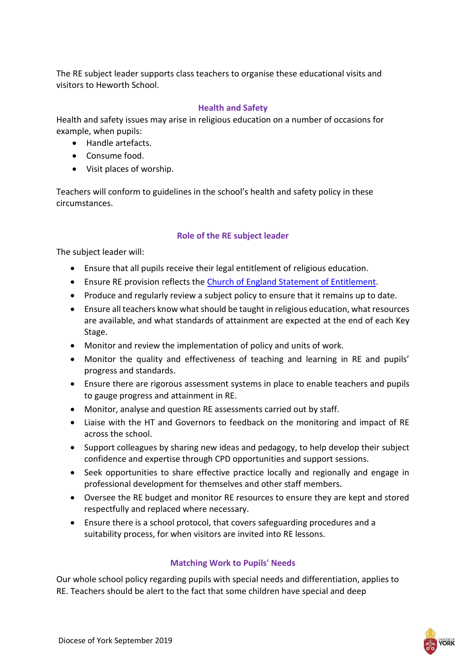The RE subject leader supports class teachers to organise these educational visits and visitors to Heworth School.

#### **Health and Safety**

Health and safety issues may arise in religious education on a number of occasions for example, when pupils:

- Handle artefacts.
- Consume food.
- Visit places of worship.

Teachers will conform to guidelines in the school's health and safety policy in these circumstances.

# **Role of the RE subject leader**

The subject leader will:

- Ensure that all pupils receive their legal entitlement of religious education.
- Ensure RE provision reflects the [Church of England Statement of Entitlement.](file:///C:/Volumes/REBECCA%20CCO/•https:/www.churchofengland.org/sites/default/files/2019-02/RE%20Statement%20of%20Entitlement%20for%20Church%20Schools.pdf)
- Produce and regularly review a subject policy to ensure that it remains up to date.
- Ensure all teachers know what should be taught in religious education, what resources are available, and what standards of attainment are expected at the end of each Key Stage.
- Monitor and review the implementation of policy and units of work.
- Monitor the quality and effectiveness of teaching and learning in RE and pupils' progress and standards.
- Ensure there are rigorous assessment systems in place to enable teachers and pupils to gauge progress and attainment in RE.
- Monitor, analyse and question RE assessments carried out by staff.
- Liaise with the HT and Governors to feedback on the monitoring and impact of RE across the school.
- Support colleagues by sharing new ideas and pedagogy, to help develop their subject confidence and expertise through CPD opportunities and support sessions.
- Seek opportunities to share effective practice locally and regionally and engage in professional development for themselves and other staff members.
- Oversee the RE budget and monitor RE resources to ensure they are kept and stored respectfully and replaced where necessary.
- Ensure there is a school protocol, that covers safeguarding procedures and a suitability process, for when visitors are invited into RE lessons.

# **Matching Work to Pupils' Needs**

Our whole school policy regarding pupils with special needs and differentiation, applies to RE. Teachers should be alert to the fact that some children have special and deep

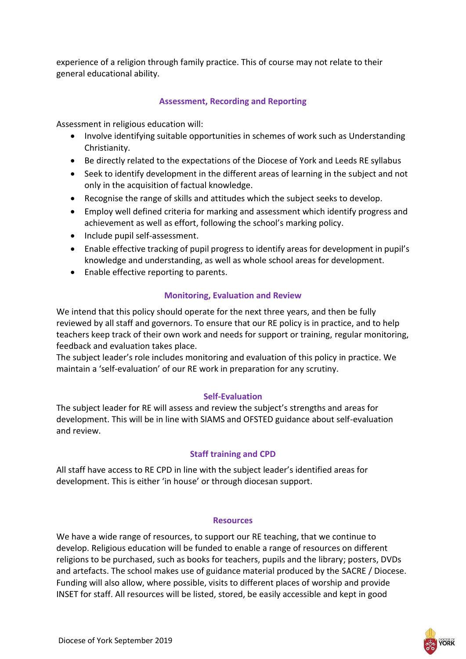experience of a religion through family practice. This of course may not relate to their general educational ability.

# **Assessment, Recording and Reporting**

Assessment in religious education will:

- Involve identifying suitable opportunities in schemes of work such as Understanding Christianity.
- Be directly related to the expectations of the Diocese of York and Leeds RE syllabus
- Seek to identify development in the different areas of learning in the subject and not only in the acquisition of factual knowledge.
- Recognise the range of skills and attitudes which the subject seeks to develop.
- Employ well defined criteria for marking and assessment which identify progress and achievement as well as effort, following the school's marking policy.
- Include pupil self-assessment.
- Enable effective tracking of pupil progress to identify areas for development in pupil's knowledge and understanding, as well as whole school areas for development.
- Enable effective reporting to parents.

# **Monitoring, Evaluation and Review**

We intend that this policy should operate for the next three years, and then be fully reviewed by all staff and governors. To ensure that our RE policy is in practice, and to help teachers keep track of their own work and needs for support or training, regular monitoring, feedback and evaluation takes place.

The subject leader's role includes monitoring and evaluation of this policy in practice. We maintain a 'self-evaluation' of our RE work in preparation for any scrutiny.

# **Self-Evaluation**

The subject leader for RE will assess and review the subject's strengths and areas for development. This will be in line with SIAMS and OFSTED guidance about self-evaluation and review.

# **Staff training and CPD**

All staff have access to RE CPD in line with the subject leader's identified areas for development. This is either 'in house' or through diocesan support.

#### **Resources**

We have a wide range of resources, to support our RE teaching, that we continue to develop. Religious education will be funded to enable a range of resources on different religions to be purchased, such as books for teachers, pupils and the library; posters, DVDs and artefacts. The school makes use of guidance material produced by the SACRE / Diocese. Funding will also allow, where possible, visits to different places of worship and provide INSET for staff. All resources will be listed, stored, be easily accessible and kept in good